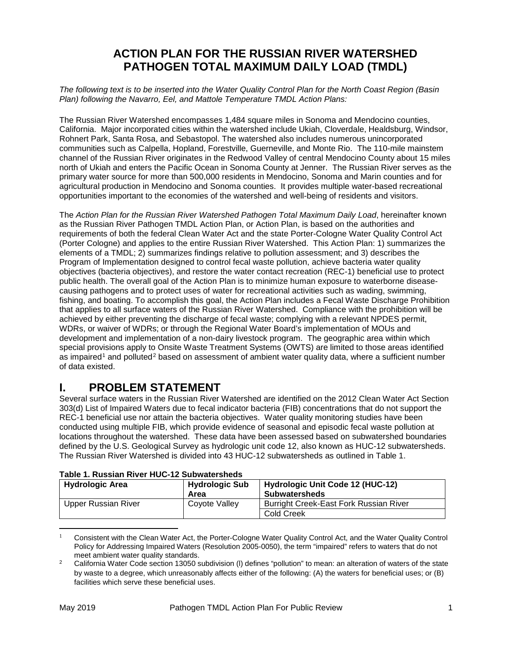# **ACTION PLAN FOR THE RUSSIAN RIVER WATERSHED PATHOGEN TOTAL MAXIMUM DAILY LOAD (TMDL)**

*The following text is to be inserted into the Water Quality Control Plan for the North Coast Region (Basin Plan) following the Navarro, Eel, and Mattole Temperature TMDL Action Plans:*

The Russian River Watershed encompasses 1,484 square miles in Sonoma and Mendocino counties, California. Major incorporated cities within the watershed include Ukiah, Cloverdale, Healdsburg, Windsor, Rohnert Park, Santa Rosa, and Sebastopol. The watershed also includes numerous unincorporated communities such as Calpella, Hopland, Forestville, Guerneville, and Monte Rio. The 110-mile mainstem channel of the Russian River originates in the Redwood Valley of central Mendocino County about 15 miles north of Ukiah and enters the Pacific Ocean in Sonoma County at Jenner. The Russian River serves as the primary water source for more than 500,000 residents in Mendocino, Sonoma and Marin counties and for agricultural production in Mendocino and Sonoma counties. It provides multiple water-based recreational opportunities important to the economies of the watershed and well-being of residents and visitors.

The *Action Plan for the Russian River Watershed Pathogen Total Maximum Daily Load*, hereinafter known as the Russian River Pathogen TMDL Action Plan, or Action Plan, is based on the authorities and requirements of both the federal Clean Water Act and the state Porter-Cologne Water Quality Control Act (Porter Cologne) and applies to the entire Russian River Watershed. This Action Plan: 1) summarizes the elements of a TMDL; 2) summarizes findings relative to pollution assessment; and 3) describes the Program of Implementation designed to control fecal waste pollution, achieve bacteria water quality objectives (bacteria objectives), and restore the water contact recreation (REC-1) beneficial use to protect public health. The overall goal of the Action Plan is to minimize human exposure to waterborne diseasecausing pathogens and to protect uses of water for recreational activities such as wading, swimming, fishing, and boating. To accomplish this goal, the Action Plan includes a Fecal Waste Discharge Prohibition that applies to all surface waters of the Russian River Watershed. Compliance with the prohibition will be achieved by either preventing the discharge of fecal waste; complying with a relevant NPDES permit, WDRs, or waiver of WDRs; or through the Regional Water Board's implementation of MOUs and development and implementation of a non-dairy livestock program. The geographic area within which special provisions apply to Onsite Waste Treatment Systems (OWTS) are limited to those areas identified as impaired<sup>[1](#page-0-0)</sup> and polluted<sup>[2](#page-0-1)</sup> based on assessment of ambient water quality data, where a sufficient number of data existed.

## **I. PROBLEM STATEMENT**

Several surface waters in the Russian River Watershed are identified on the 2012 Clean Water Act Section 303(d) List of Impaired Waters due to fecal indicator bacteria (FIB) concentrations that do not support the REC-1 beneficial use nor attain the bacteria objectives. Water quality monitoring studies have been conducted using multiple FIB, which provide evidence of seasonal and episodic fecal waste pollution at locations throughout the watershed. These data have been assessed based on subwatershed boundaries defined by the U.S. Geological Survey as hydrologic unit code 12, also known as HUC-12 subwatersheds. The Russian River Watershed is divided into 43 HUC-12 subwatersheds as outlined in Table 1.

| TADIG T. INUSSIAIT INTEL TIUW-TZ JUDWALGI SI IGUS |                               |                                                          |  |
|---------------------------------------------------|-------------------------------|----------------------------------------------------------|--|
| <b>Hydrologic Area</b>                            | <b>Hydrologic Sub</b><br>Area | Hydrologic Unit Code 12 (HUC-12)<br><b>Subwatersheds</b> |  |
| <b>Upper Russian River</b>                        | Coyote Valley                 | Burright Creek-East Fork Russian River                   |  |
|                                                   |                               | <b>Cold Creek</b>                                        |  |

| Table 1. Russian River HUC-12 Subwatersheds |
|---------------------------------------------|
|---------------------------------------------|

l

<span id="page-0-0"></span><sup>1</sup> Consistent with the Clean Water Act, the Porter-Cologne Water Quality Control Act, and the Water Quality Control Policy for Addressing Impaired Waters (Resolution 2005-0050), the term "impaired" refers to waters that do not<br>meet ambient water quality standards.

<span id="page-0-1"></span><sup>&</sup>lt;sup>2</sup> California Water Code section 13050 subdivision (I) defines "pollution" to mean: an alteration of waters of the state by waste to a degree, which unreasonably affects either of the following: (A) the waters for beneficial uses; or (B) facilities which serve these beneficial uses.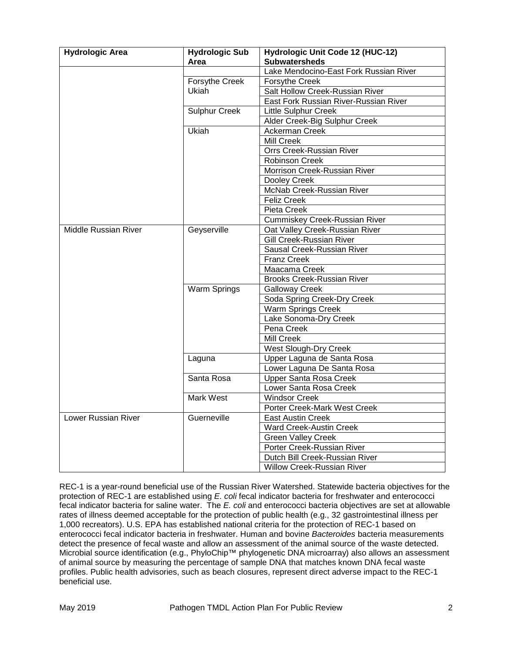| <b>Hydrologic Area</b>      | <b>Hydrologic Sub</b> | Hydrologic Unit Code 12 (HUC-12)       |
|-----------------------------|-----------------------|----------------------------------------|
|                             | Area                  | <b>Subwatersheds</b>                   |
|                             |                       | Lake Mendocino-East Fork Russian River |
|                             | Forsythe Creek        | Forsythe Creek                         |
|                             | Ukiah                 | Salt Hollow Creek-Russian River        |
|                             |                       | East Fork Russian River-Russian River  |
|                             | <b>Sulphur Creek</b>  | <b>Little Sulphur Creek</b>            |
|                             |                       | Alder Creek-Big Sulphur Creek          |
|                             | Ukiah                 | Ackerman Creek                         |
|                             |                       | Mill Creek                             |
|                             |                       | Orrs Creek-Russian River               |
|                             |                       | <b>Robinson Creek</b>                  |
|                             |                       | Morrison Creek-Russian River           |
|                             |                       | Dooley Creek                           |
|                             |                       | McNab Creek-Russian River              |
|                             |                       | <b>Feliz Creek</b>                     |
|                             |                       | Pieta Creek                            |
|                             |                       | Cummiskey Creek-Russian River          |
| <b>Middle Russian River</b> | Geyserville           | Oat Valley Creek-Russian River         |
|                             |                       | Gill Creek-Russian River               |
|                             |                       | Sausal Creek-Russian River             |
|                             |                       | <b>Franz Creek</b>                     |
|                             |                       | Maacama Creek                          |
|                             |                       | <b>Brooks Creek-Russian River</b>      |
|                             | <b>Warm Springs</b>   | <b>Galloway Creek</b>                  |
|                             |                       | Soda Spring Creek-Dry Creek            |
|                             |                       | Warm Springs Creek                     |
|                             |                       | Lake Sonoma-Dry Creek                  |
|                             |                       | Pena Creek                             |
|                             |                       | <b>Mill Creek</b>                      |
|                             |                       | <b>West Slough-Dry Creek</b>           |
|                             | Laguna                | Upper Laguna de Santa Rosa             |
|                             |                       | Lower Laguna De Santa Rosa             |
|                             | Santa Rosa            | <b>Upper Santa Rosa Creek</b>          |
|                             |                       | Lower Santa Rosa Creek                 |
|                             | <b>Mark West</b>      | <b>Windsor Creek</b>                   |
|                             |                       | Porter Creek-Mark West Creek           |
| Lower Russian River         | Guerneville           | <b>East Austin Creek</b>               |
|                             |                       | Ward Creek-Austin Creek                |
|                             |                       | <b>Green Valley Creek</b>              |
|                             |                       | Porter Creek-Russian River             |
|                             |                       | Dutch Bill Creek-Russian River         |
|                             |                       | <b>Willow Creek-Russian River</b>      |

REC-1 is a year-round beneficial use of the Russian River Watershed. Statewide bacteria objectives for the protection of REC-1 are established using *E. coli* fecal indicator bacteria for freshwater and enterococci fecal indicator bacteria for saline water. The *E. coli* and enterococci bacteria objectives are set at allowable rates of illness deemed acceptable for the protection of public health (e.g., 32 gastrointestinal illness per 1,000 recreators). U.S. EPA has established national criteria for the protection of REC-1 based on enterococci fecal indicator bacteria in freshwater. Human and bovine *Bacteroides* bacteria measurements detect the presence of fecal waste and allow an assessment of the animal source of the waste detected. Microbial source identification (e.g., PhyloChip™ phylogenetic DNA microarray) also allows an assessment of animal source by measuring the percentage of sample DNA that matches known DNA fecal waste profiles. Public health advisories, such as beach closures, represent direct adverse impact to the REC-1 beneficial use.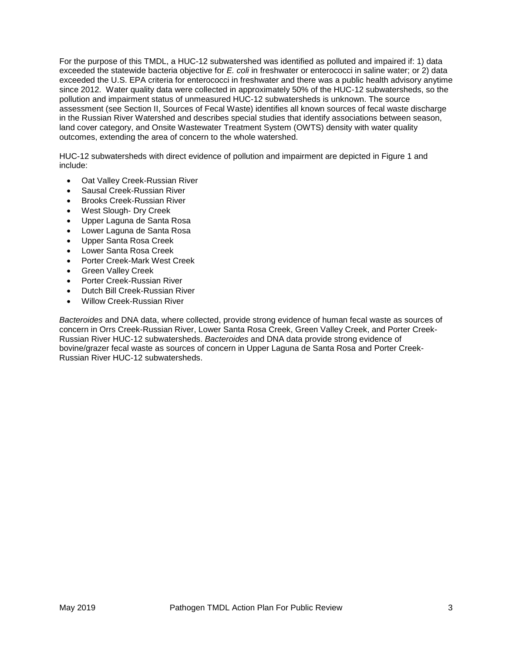For the purpose of this TMDL, a HUC-12 subwatershed was identified as polluted and impaired if: 1) data exceeded the statewide bacteria objective for *E. coli* in freshwater or enterococci in saline water; or 2) data exceeded the U.S. EPA criteria for enterococci in freshwater and there was a public health advisory anytime since 2012. Water quality data were collected in approximately 50% of the HUC-12 subwatersheds, so the pollution and impairment status of unmeasured HUC-12 subwatersheds is unknown. The source assessment (see Section II, Sources of Fecal Waste) identifies all known sources of fecal waste discharge in the Russian River Watershed and describes special studies that identify associations between season, land cover category, and Onsite Wastewater Treatment System (OWTS) density with water quality outcomes, extending the area of concern to the whole watershed.

HUC-12 subwatersheds with direct evidence of pollution and impairment are depicted in Figure 1 and include:

- Oat Valley Creek-Russian River
- Sausal Creek-Russian River
- Brooks Creek-Russian River
- West Slough- Dry Creek
- Upper Laguna de Santa Rosa
- Lower Laguna de Santa Rosa
- Upper Santa Rosa Creek
- Lower Santa Rosa Creek
- Porter Creek-Mark West Creek
- Green Valley Creek
- Porter Creek-Russian River
- Dutch Bill Creek-Russian River
- Willow Creek-Russian River

*Bacteroides* and DNA data, where collected, provide strong evidence of human fecal waste as sources of concern in Orrs Creek-Russian River, Lower Santa Rosa Creek, Green Valley Creek, and Porter Creek-Russian River HUC-12 subwatersheds. *Bacteroides* and DNA data provide strong evidence of bovine/grazer fecal waste as sources of concern in Upper Laguna de Santa Rosa and Porter Creek-Russian River HUC-12 subwatersheds.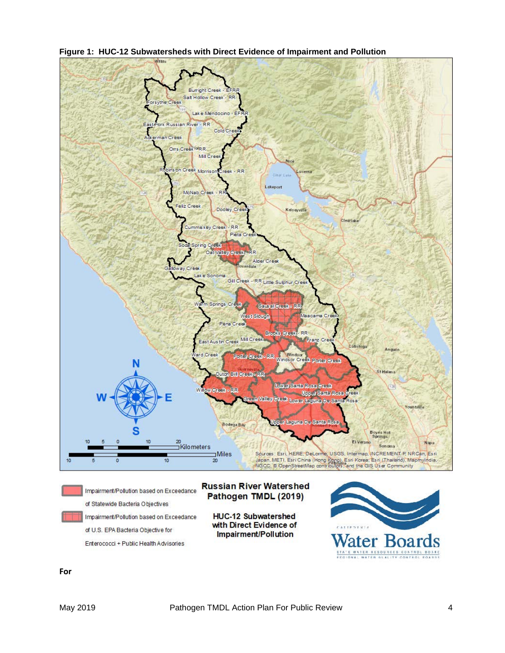



**For**

Enterococci + Public Health Advisories

.<br>STATE WATER BESOURCES CONTROL BOARD<br>FEGIONAL WATER ALALITY CONTROL BOARDS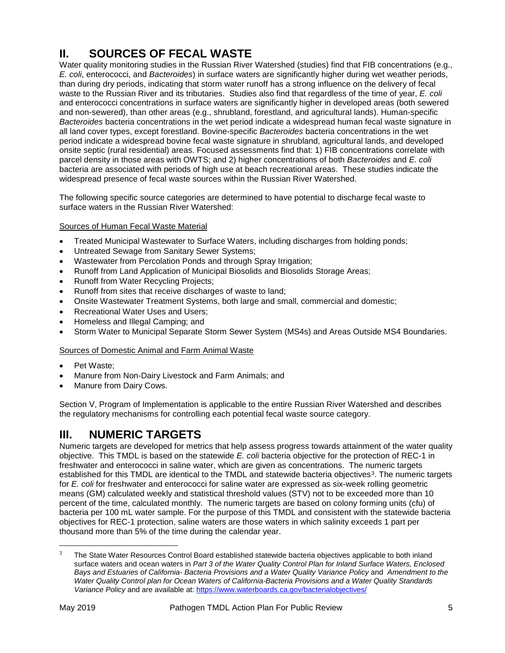# **II. SOURCES OF FECAL WASTE**

Water quality monitoring studies in the Russian River Watershed (studies) find that FIB concentrations (e.g., *E. coli*, enterococci, and *Bacteroides*) in surface waters are significantly higher during wet weather periods, than during dry periods, indicating that storm water runoff has a strong influence on the delivery of fecal waste to the Russian River and its tributaries. Studies also find that regardless of the time of year, *E. coli* and enterococci concentrations in surface waters are significantly higher in developed areas (both sewered and non-sewered), than other areas (e.g., shrubland, forestland, and agricultural lands). Human-specific *Bacteroides* bacteria concentrations in the wet period indicate a widespread human fecal waste signature in all land cover types, except forestland. Bovine-specific *Bacteroides* bacteria concentrations in the wet period indicate a widespread bovine fecal waste signature in shrubland, agricultural lands, and developed onsite septic (rural residential) areas. Focused assessments find that: 1) FIB concentrations correlate with parcel density in those areas with OWTS; and 2) higher concentrations of both *Bacteroides* and *E. coli* bacteria are associated with periods of high use at beach recreational areas. These studies indicate the widespread presence of fecal waste sources within the Russian River Watershed.

The following specific source categories are determined to have potential to discharge fecal waste to surface waters in the Russian River Watershed:

#### Sources of Human Fecal Waste Material

- Treated Municipal Wastewater to Surface Waters, including discharges from holding ponds;
- Untreated Sewage from Sanitary Sewer Systems;
- Wastewater from Percolation Ponds and through Spray Irrigation;
- Runoff from Land Application of Municipal Biosolids and Biosolids Storage Areas;
- Runoff from Water Recycling Projects;
- Runoff from sites that receive discharges of waste to land;
- Onsite Wastewater Treatment Systems, both large and small, commercial and domestic;
- Recreational Water Uses and Users;
- Homeless and Illegal Camping; and
- Storm Water to Municipal Separate Storm Sewer System (MS4s) and Areas Outside MS4 Boundaries.

#### Sources of Domestic Animal and Farm Animal Waste

- Pet Waste;
- Manure from Non-Dairy Livestock and Farm Animals; and
- Manure from Dairy Cows.

Section V, Program of Implementation is applicable to the entire Russian River Watershed and describes the regulatory mechanisms for controlling each potential fecal waste source category.

## **III. NUMERIC TARGETS**

Numeric targets are developed for metrics that help assess progress towards attainment of the water quality objective. This TMDL is based on the statewide *E. coli* bacteria objective for the protection of REC-1 in freshwater and enterococci in saline water, which are given as concentrations. The numeric targets established for this TMDL are identical to the TMDL and statewide bacteria objectives<sup>[3](#page-4-0)</sup>. The numeric targets for *E. coli* for freshwater and enterococci for saline water are expressed as six-week rolling geometric means (GM) calculated weekly and statistical threshold values (STV) not to be exceeded more than 10 percent of the time, calculated monthly. The numeric targets are based on colony forming units (cfu) of bacteria per 100 mL water sample. For the purpose of this TMDL and consistent with the statewide bacteria objectives for REC-1 protection, saline waters are those waters in which salinity exceeds 1 part per thousand more than 5% of the time during the calendar year.

 $\overline{\phantom{a}}$ 

<span id="page-4-0"></span>The State Water Resources Control Board established statewide bacteria objectives applicable to both inland surface waters and ocean waters in *Part 3 of the Water Quality Control Plan for Inland Surface Waters, Enclosed Bays and Estuaries of California- Bacteria Provisions and a Water Quality Variance Policy* and *Amendment to the Water Quality Control plan for Ocean Waters of California-Bacteria Provisions and a Water Quality Standards Variance Policy* and are available at:<https://www.waterboards.ca.gov/bacterialobjectives/>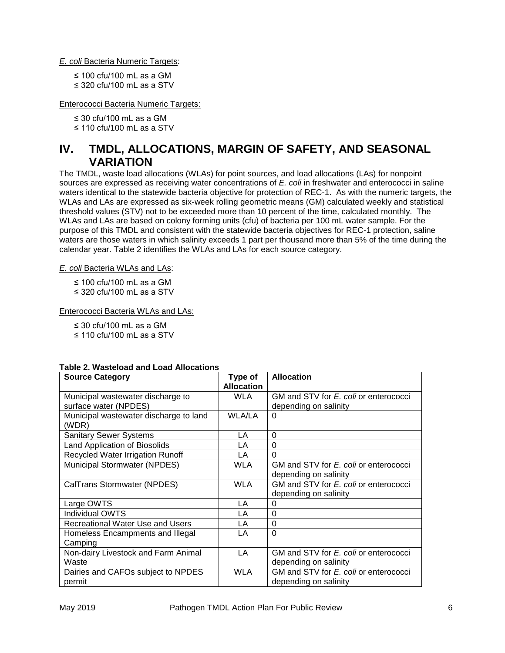*E. coli* Bacteria Numeric Targets:

≤ 100 cfu/100 mL as a GM

≤ 320 cfu/100 mL as a STV

Enterococci Bacteria Numeric Targets:

≤ 30 cfu/100 mL as a GM

≤ 110 cfu/100 mL as a STV

## **IV. TMDL, ALLOCATIONS, MARGIN OF SAFETY, AND SEASONAL VARIATION**

The TMDL, waste load allocations (WLAs) for point sources, and load allocations (LAs) for nonpoint sources are expressed as receiving water concentrations of *E. coli* in freshwater and enterococci in saline waters identical to the statewide bacteria objective for protection of REC-1. As with the numeric targets, the WLAs and LAs are expressed as six-week rolling geometric means (GM) calculated weekly and statistical threshold values (STV) not to be exceeded more than 10 percent of the time, calculated monthly. The WLAs and LAs are based on colony forming units (cfu) of bacteria per 100 mL water sample. For the purpose of this TMDL and consistent with the statewide bacteria objectives for REC-1 protection, saline waters are those waters in which salinity exceeds 1 part per thousand more than 5% of the time during the calendar year. Table 2 identifies the WLAs and LAs for each source category.

*E. coli* Bacteria WLAs and LAs:

≤ 100 cfu/100 mL as a GM

≤ 320 cfu/100 mL as a STV

Enterococci Bacteria WLAs and LAs:

≤ 30 cfu/100 mL as a GM

≤ 110 cfu/100 mL as a STV

| TADIC 2. WASICIUAU ANU LUAU ANULANUNS<br><b>Source Category</b> | Type of           | <b>Allocation</b>                     |
|-----------------------------------------------------------------|-------------------|---------------------------------------|
|                                                                 |                   |                                       |
|                                                                 | <b>Allocation</b> |                                       |
| Municipal wastewater discharge to                               | <b>WLA</b>        | GM and STV for E. coli or enterococci |
| surface water (NPDES)                                           |                   | depending on salinity                 |
| Municipal wastewater discharge to land                          | <b>WLA/LA</b>     | 0                                     |
| (WDR)                                                           |                   |                                       |
| <b>Sanitary Sewer Systems</b>                                   | LA                | 0                                     |
| Land Application of Biosolids                                   | LA                | 0                                     |
| Recycled Water Irrigation Runoff                                | LA                | $\Omega$                              |
| Municipal Stormwater (NPDES)                                    | <b>WLA</b>        | GM and STV for E. coli or enterococci |
|                                                                 |                   | depending on salinity                 |
| CalTrans Stormwater (NPDES)                                     | <b>WLA</b>        | GM and STV for E. coli or enterococci |
|                                                                 |                   | depending on salinity                 |
| Large OWTS                                                      | LA                | $\Omega$                              |
| <b>Individual OWTS</b>                                          | LA                | 0                                     |
| Recreational Water Use and Users                                | LA                | 0                                     |
| Homeless Encampments and Illegal                                | LA                | $\Omega$                              |
| Camping                                                         |                   |                                       |
| Non-dairy Livestock and Farm Animal                             | LA                | GM and STV for E. coli or enterococci |
| Waste                                                           |                   | depending on salinity                 |
| Dairies and CAFOs subject to NPDES                              | <b>WLA</b>        | GM and STV for E. coli or enterococci |
| permit                                                          |                   | depending on salinity                 |

#### **Table 2. Wasteload and Load Allocations**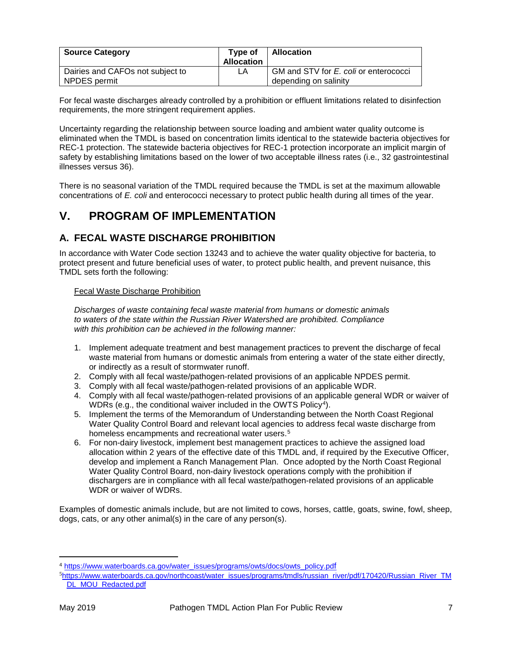| <b>Source Category</b>                           | Type of<br><b>Allocation</b> | Allocation                                                     |
|--------------------------------------------------|------------------------------|----------------------------------------------------------------|
| Dairies and CAFOs not subject to<br>NPDES permit | LA                           | GM and STV for E. coli or enterococci<br>depending on salinity |

For fecal waste discharges already controlled by a prohibition or effluent limitations related to disinfection requirements, the more stringent requirement applies.

Uncertainty regarding the relationship between source loading and ambient water quality outcome is eliminated when the TMDL is based on concentration limits identical to the statewide bacteria objectives for REC-1 protection. The statewide bacteria objectives for REC-1 protection incorporate an implicit margin of safety by establishing limitations based on the lower of two acceptable illness rates (i.e., 32 gastrointestinal illnesses versus 36).

There is no seasonal variation of the TMDL required because the TMDL is set at the maximum allowable concentrations of *E. coli* and enterococci necessary to protect public health during all times of the year.

## **V. PROGRAM OF IMPLEMENTATION**

### **A. FECAL WASTE DISCHARGE PROHIBITION**

In accordance with Water Code section 13243 and to achieve the water quality objective for bacteria, to protect present and future beneficial uses of water, to protect public health, and prevent nuisance, this TMDL sets forth the following:

#### Fecal Waste Discharge Prohibition

*Discharges of waste containing fecal waste material from humans or domestic animals to waters of the state within the Russian River Watershed are prohibited. Compliance with this prohibition can be achieved in the following manner:*

- 1. Implement adequate treatment and best management practices to prevent the discharge of fecal waste material from humans or domestic animals from entering a water of the state either directly, or indirectly as a result of stormwater runoff.
- 2. Comply with all fecal waste/pathogen-related provisions of an applicable NPDES permit.
- 3. Comply with all fecal waste/pathogen-related provisions of an applicable WDR.
- 4. Comply with all fecal waste/pathogen-related provisions of an applicable general WDR or waiver of WDRs (e.g., the conditional waiver included in the OWTS Policy<sup>4</sup>).
- 5. Implement the terms of the Memorandum of Understanding between the North Coast Regional Water Quality Control Board and relevant local agencies to address fecal waste discharge from homeless encampments and recreational water users.<sup>[5](#page-6-1)</sup>
- 6. For non-dairy livestock, implement best management practices to achieve the assigned load allocation within 2 years of the effective date of this TMDL and, if required by the Executive Officer, develop and implement a Ranch Management Plan. Once adopted by the North Coast Regional Water Quality Control Board, non-dairy livestock operations comply with the prohibition if dischargers are in compliance with all fecal waste/pathogen-related provisions of an applicable WDR or waiver of WDRs.

Examples of domestic animals include, but are not limited to cows, horses, cattle, goats, swine, fowl, sheep, dogs, cats, or any other animal(s) in the care of any person(s).

 $\overline{a}$ 

<span id="page-6-0"></span><sup>4</sup> [https://www.waterboards.ca.gov/water\\_issues/programs/owts/docs/owts\\_policy.pdf](https://www.waterboards.ca.gov/water_issues/programs/owts/docs/owts_policy.pdf)

<span id="page-6-1"></span><sup>&</sup>lt;sup>5</sup>[https://www.waterboards.ca.gov/northcoast/water\\_issues/programs/tmdls/russian\\_river/pdf/170420/Russian\\_River\\_TM](https://www.waterboards.ca.gov/northcoast/water_issues/programs/tmdls/russian_river/pdf/170420/Russian_River_TMDL_MOU_Redacted.pdf) [DL\\_MOU\\_Redacted.pdf](https://www.waterboards.ca.gov/northcoast/water_issues/programs/tmdls/russian_river/pdf/170420/Russian_River_TMDL_MOU_Redacted.pdf)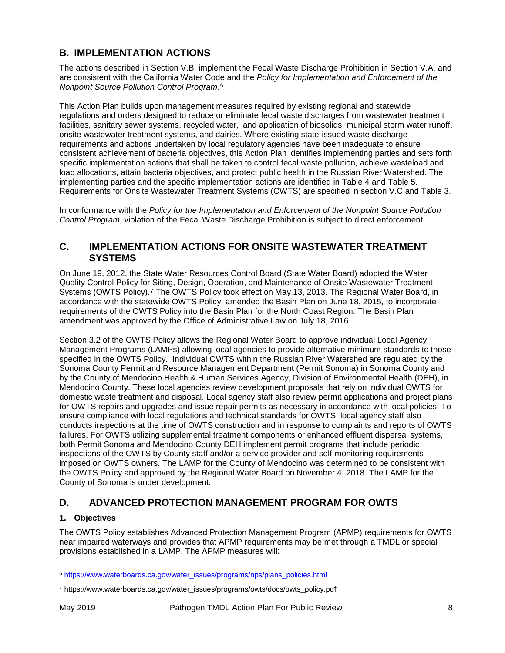## **B. IMPLEMENTATION ACTIONS**

The actions described in Section V.B. implement the Fecal Waste Discharge Prohibition in Section V.A. and are consistent with the California Water Code and the *Policy for Implementation and Enforcement of the Nonpoint Source Pollution Control Program*.[6](#page-7-0)

This Action Plan builds upon management measures required by existing regional and statewide regulations and orders designed to reduce or eliminate fecal waste discharges from wastewater treatment facilities, sanitary sewer systems, recycled water, land application of biosolids, municipal storm water runoff, onsite wastewater treatment systems, and dairies. Where existing state-issued waste discharge requirements and actions undertaken by local regulatory agencies have been inadequate to ensure consistent achievement of bacteria objectives, this Action Plan identifies implementing parties and sets forth specific implementation actions that shall be taken to control fecal waste pollution, achieve wasteload and load allocations, attain bacteria objectives, and protect public health in the Russian River Watershed. The implementing parties and the specific implementation actions are identified in Table 4 and Table 5. Requirements for Onsite Wastewater Treatment Systems (OWTS) are specified in section V.C and Table 3.

In conformance with the *Policy for the Implementation and Enforcement of the Nonpoint Source Pollution Control Program*, violation of the Fecal Waste Discharge Prohibition is subject to direct enforcement.

#### **C. IMPLEMENTATION ACTIONS FOR ONSITE WASTEWATER TREATMENT SYSTEMS**

On June 19, 2012, the State Water Resources Control Board (State Water Board) adopted the Water Quality Control Policy for Siting, Design, Operation, and Maintenance of Onsite Wastewater Treatment Systems (OWTS Policy).[7](#page-7-1) The OWTS Policy took effect on May 13, 2013. The Regional Water Board, in accordance with the statewide OWTS Policy, amended the Basin Plan on June 18, 2015, to incorporate requirements of the OWTS Policy into the Basin Plan for the North Coast Region. The Basin Plan amendment was approved by the Office of Administrative Law on July 18, 2016.

Section 3.2 of the OWTS Policy allows the Regional Water Board to approve individual Local Agency Management Programs (LAMPs) allowing local agencies to provide alternative minimum standards to those specified in the OWTS Policy. Individual OWTS within the Russian River Watershed are regulated by the Sonoma County Permit and Resource Management Department (Permit Sonoma) in Sonoma County and by the County of Mendocino Health & Human Services Agency, Division of Environmental Health (DEH), in Mendocino County. These local agencies review development proposals that rely on individual OWTS for domestic waste treatment and disposal. Local agency staff also review permit applications and project plans for OWTS repairs and upgrades and issue repair permits as necessary in accordance with local policies. To ensure compliance with local regulations and technical standards for OWTS, local agency staff also conducts inspections at the time of OWTS construction and in response to complaints and reports of OWTS failures. For OWTS utilizing supplemental treatment components or enhanced effluent dispersal systems, both Permit Sonoma and Mendocino County DEH implement permit programs that include periodic inspections of the OWTS by County staff and/or a service provider and self-monitoring requirements imposed on OWTS owners. The LAMP for the County of Mendocino was determined to be consistent with the OWTS Policy and approved by the Regional Water Board on November 4, 2018. The LAMP for the County of Sonoma is under development.

## **D. ADVANCED PROTECTION MANAGEMENT PROGRAM FOR OWTS**

#### **1. Objectives**

The OWTS Policy establishes Advanced Protection Management Program (APMP) requirements for OWTS near impaired waterways and provides that APMP requirements may be met through a TMDL or special provisions established in a LAMP. The APMP measures will:

 $\overline{\phantom{a}}$ 

<span id="page-7-0"></span><sup>6</sup> [https://www.waterboards.ca.gov/water\\_issues/programs/nps/plans\\_policies.html](https://www.waterboards.ca.gov/water_issues/programs/nps/plans_policies.html)

<span id="page-7-1"></span><sup>7</sup> https://www.waterboards.ca.gov/water\_issues/programs/owts/docs/owts\_policy.pdf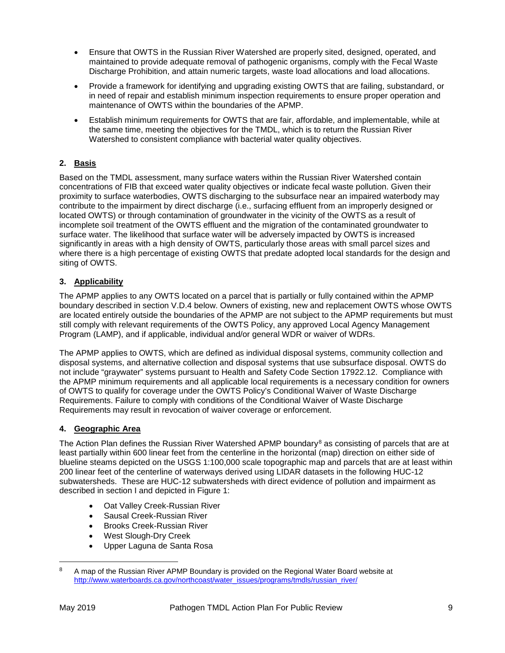- Ensure that OWTS in the Russian River Watershed are properly sited, designed, operated, and maintained to provide adequate removal of pathogenic organisms, comply with the Fecal Waste Discharge Prohibition, and attain numeric targets, waste load allocations and load allocations.
- Provide a framework for identifying and upgrading existing OWTS that are failing, substandard, or in need of repair and establish minimum inspection requirements to ensure proper operation and maintenance of OWTS within the boundaries of the APMP.
- Establish minimum requirements for OWTS that are fair, affordable, and implementable, while at the same time, meeting the objectives for the TMDL, which is to return the Russian River Watershed to consistent compliance with bacterial water quality objectives.

#### **2. Basis**

Based on the TMDL assessment, many surface waters within the Russian River Watershed contain concentrations of FIB that exceed water quality objectives or indicate fecal waste pollution. Given their proximity to surface waterbodies, OWTS discharging to the subsurface near an impaired waterbody may contribute to the impairment by direct discharge (i.e., surfacing effluent from an improperly designed or located OWTS) or through contamination of groundwater in the vicinity of the OWTS as a result of incomplete soil treatment of the OWTS effluent and the migration of the contaminated groundwater to surface water. The likelihood that surface water will be adversely impacted by OWTS is increased significantly in areas with a high density of OWTS, particularly those areas with small parcel sizes and where there is a high percentage of existing OWTS that predate adopted local standards for the design and siting of OWTS.

#### **3. Applicability**

The APMP applies to any OWTS located on a parcel that is partially or fully contained within the APMP boundary described in section V.D.4 below. Owners of existing, new and replacement OWTS whose OWTS are located entirely outside the boundaries of the APMP are not subject to the APMP requirements but must still comply with relevant requirements of the OWTS Policy, any approved Local Agency Management Program (LAMP), and if applicable, individual and/or general WDR or waiver of WDRs.

The APMP applies to OWTS, which are defined as individual disposal systems, community collection and disposal systems, and alternative collection and disposal systems that use subsurface disposal. OWTS do not include "graywater" systems pursuant to Health and Safety Code Section 17922.12. Compliance with the APMP minimum requirements and all applicable local requirements is a necessary condition for owners of OWTS to qualify for coverage under the OWTS Policy's Conditional Waiver of Waste Discharge Requirements. Failure to comply with conditions of the Conditional Waiver of Waste Discharge Requirements may result in revocation of waiver coverage or enforcement.

#### **4. Geographic Area**

The Action Plan defines the Russian River Watershed APMP boundary<sup>[8](#page-8-0)</sup> as consisting of parcels that are at least partially within 600 linear feet from the centerline in the horizontal (map) direction on either side of blueline steams depicted on the USGS 1:100,000 scale topographic map and parcels that are at least within 200 linear feet of the centerline of waterways derived using LIDAR datasets in the following HUC-12 subwatersheds. These are HUC-12 subwatersheds with direct evidence of pollution and impairment as described in section I and depicted in Figure 1:

- Oat Valley Creek-Russian River
- Sausal Creek-Russian River
- Brooks Creek-Russian River
- West Slough-Dry Creek
- Upper Laguna de Santa Rosa

 $\overline{a}$ 

<span id="page-8-0"></span><sup>&</sup>lt;sup>8</sup> A map of the Russian River APMP Boundary is provided on the Regional Water Board website at [http://www.waterboards.ca.gov/northcoast/water\\_issues/programs/tmdls/russian\\_river/](http://www.waterboards.ca.gov/northcoast/water_issues/programs/tmdls/russian_river/)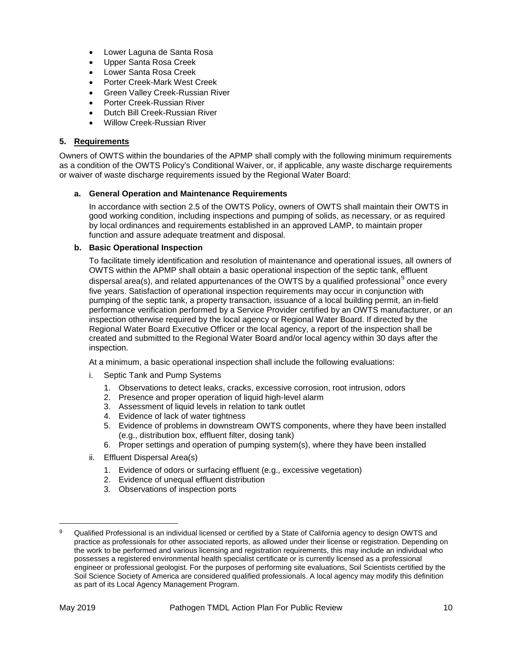- Lower Laguna de Santa Rosa
- Upper Santa Rosa Creek
- Lower Santa Rosa Creek
- Porter Creek-Mark West Creek
- Green Valley Creek-Russian River
- Porter Creek-Russian River
- Dutch Bill Creek-Russian River
- Willow Creek-Russian River

#### **5. Requirements**

Owners of OWTS within the boundaries of the APMP shall comply with the following minimum requirements as a condition of the OWTS Policy's Conditional Waiver, or, if applicable, any waste discharge requirements or waiver of waste discharge requirements issued by the Regional Water Board:

#### **a. General Operation and Maintenance Requirements**

In accordance with section 2.5 of the OWTS Policy, owners of OWTS shall maintain their OWTS in good working condition, including inspections and pumping of solids, as necessary, or as required by local ordinances and requirements established in an approved LAMP, to maintain proper function and assure adequate treatment and disposal.

#### **b. Basic Operational Inspection**

To facilitate timely identification and resolution of maintenance and operational issues, all owners of OWTS within the APMP shall obtain a basic operational inspection of the septic tank, effluent dispersal area(s), and related appurtenances of the OWTS by a qualified professional<sup>[9](#page-9-0)</sup> once every five years. Satisfaction of operational inspection requirements may occur in conjunction with pumping of the septic tank, a property transaction, issuance of a local building permit, an in-field performance verification performed by a Service Provider certified by an OWTS manufacturer, or an inspection otherwise required by the local agency or Regional Water Board. If directed by the Regional Water Board Executive Officer or the local agency, a report of the inspection shall be created and submitted to the Regional Water Board and/or local agency within 30 days after the inspection.

At a minimum, a basic operational inspection shall include the following evaluations:

- i. Septic Tank and Pump Systems
	- 1. Observations to detect leaks, cracks, excessive corrosion, root intrusion, odors
	- 2. Presence and proper operation of liquid high-level alarm
	- 3. Assessment of liquid levels in relation to tank outlet
	- 4. Evidence of lack of water tightness
	- 5. Evidence of problems in downstream OWTS components, where they have been installed (e.g., distribution box, effluent filter, dosing tank)
	- 6. Proper settings and operation of pumping system(s), where they have been installed
- ii. Effluent Dispersal Area(s)
	- 1. Evidence of odors or surfacing effluent (e.g., excessive vegetation)
	- 2. Evidence of unequal effluent distribution
	- 3. Observations of inspection ports

 $\overline{\phantom{a}}$ 

<span id="page-9-0"></span><sup>9</sup> Qualified Professional is an individual licensed or certified by a State of California agency to design OWTS and practice as professionals for other associated reports, as allowed under their license or registration. Depending on the work to be performed and various licensing and registration requirements, this may include an individual who possesses a registered environmental health specialist certificate or is currently licensed as a professional engineer or professional geologist. For the purposes of performing site evaluations, Soil Scientists certified by the Soil Science Society of America are considered qualified professionals. A local agency may modify this definition as part of its Local Agency Management Program.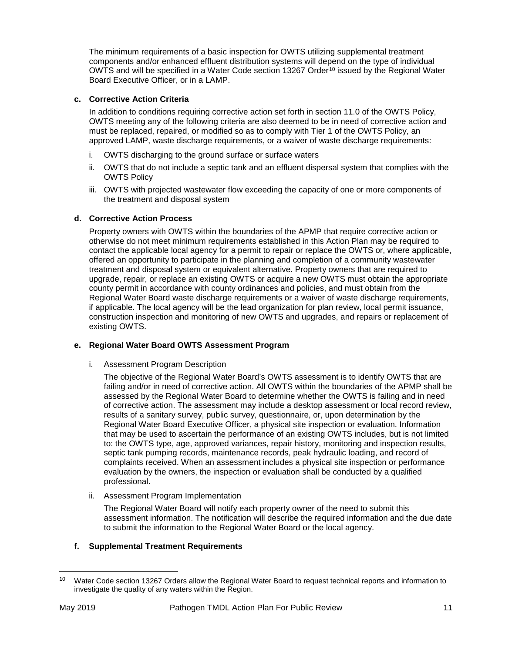The minimum requirements of a basic inspection for OWTS utilizing supplemental treatment components and/or enhanced effluent distribution systems will depend on the type of individual OWTS and will be specified in a Water Code section 13267 Order<sup>[10](#page-10-0)</sup> issued by the Regional Water Board Executive Officer, or in a LAMP.

#### **c. Corrective Action Criteria**

In addition to conditions requiring corrective action set forth in section 11.0 of the OWTS Policy, OWTS meeting any of the following criteria are also deemed to be in need of corrective action and must be replaced, repaired, or modified so as to comply with Tier 1 of the OWTS Policy, an approved LAMP, waste discharge requirements, or a waiver of waste discharge requirements:

- i. OWTS discharging to the ground surface or surface waters
- ii. OWTS that do not include a septic tank and an effluent dispersal system that complies with the OWTS Policy
- iii. OWTS with projected wastewater flow exceeding the capacity of one or more components of the treatment and disposal system

#### **d. Corrective Action Process**

Property owners with OWTS within the boundaries of the APMP that require corrective action or otherwise do not meet minimum requirements established in this Action Plan may be required to contact the applicable local agency for a permit to repair or replace the OWTS or, where applicable, offered an opportunity to participate in the planning and completion of a community wastewater treatment and disposal system or equivalent alternative. Property owners that are required to upgrade, repair, or replace an existing OWTS or acquire a new OWTS must obtain the appropriate county permit in accordance with county ordinances and policies, and must obtain from the Regional Water Board waste discharge requirements or a waiver of waste discharge requirements, if applicable. The local agency will be the lead organization for plan review, local permit issuance, construction inspection and monitoring of new OWTS and upgrades, and repairs or replacement of existing OWTS.

#### **e. Regional Water Board OWTS Assessment Program**

i. Assessment Program Description

The objective of the Regional Water Board's OWTS assessment is to identify OWTS that are failing and/or in need of corrective action. All OWTS within the boundaries of the APMP shall be assessed by the Regional Water Board to determine whether the OWTS is failing and in need of corrective action. The assessment may include a desktop assessment or local record review, results of a sanitary survey, public survey, questionnaire, or, upon determination by the Regional Water Board Executive Officer, a physical site inspection or evaluation. Information that may be used to ascertain the performance of an existing OWTS includes, but is not limited to: the OWTS type, age, approved variances, repair history, monitoring and inspection results, septic tank pumping records, maintenance records, peak hydraulic loading, and record of complaints received. When an assessment includes a physical site inspection or performance evaluation by the owners, the inspection or evaluation shall be conducted by a qualified professional.

ii. Assessment Program Implementation

The Regional Water Board will notify each property owner of the need to submit this assessment information. The notification will describe the required information and the due date to submit the information to the Regional Water Board or the local agency.

#### **f. Supplemental Treatment Requirements**

<span id="page-10-0"></span> $\overline{\phantom{a}}$ <sup>10</sup> Water Code section 13267 Orders allow the Regional Water Board to request technical reports and information to investigate the quality of any waters within the Region.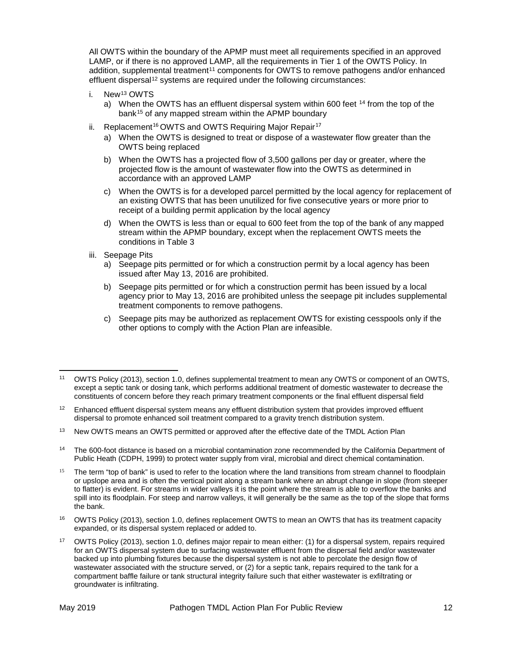All OWTS within the boundary of the APMP must meet all requirements specified in an approved LAMP, or if there is no approved LAMP, all the requirements in Tier 1 of the OWTS Policy. In addition, supplemental treatment<sup>[11](#page-11-0)</sup> components for OWTS to remove pathogens and/or enhanced effluent dispersal<sup>[12](#page-11-1)</sup> systems are required under the following circumstances:

- i. New[13](#page-11-2) OWTS
	- a) When the OWTS has an effluent dispersal system within 600 feet  $14$  from the top of the bank<sup>[15](#page-11-4)</sup> of any mapped stream within the APMP boundary
- ii. Replacement<sup>[16](#page-11-5)</sup> OWTS and OWTS Requiring Major Repair<sup>[17](#page-11-6)</sup>
	- a) When the OWTS is designed to treat or dispose of a wastewater flow greater than the OWTS being replaced
	- b) When the OWTS has a projected flow of 3,500 gallons per day or greater, where the projected flow is the amount of wastewater flow into the OWTS as determined in accordance with an approved LAMP
	- c) When the OWTS is for a developed parcel permitted by the local agency for replacement of an existing OWTS that has been unutilized for five consecutive years or more prior to receipt of a building permit application by the local agency
	- d) When the OWTS is less than or equal to 600 feet from the top of the bank of any mapped stream within the APMP boundary, except when the replacement OWTS meets the conditions in Table 3
- iii. Seepage Pits
	- a) Seepage pits permitted or for which a construction permit by a local agency has been issued after May 13, 2016 are prohibited.
	- b) Seepage pits permitted or for which a construction permit has been issued by a local agency prior to May 13, 2016 are prohibited unless the seepage pit includes supplemental treatment components to remove pathogens.
	- c) Seepage pits may be authorized as replacement OWTS for existing cesspools only if the other options to comply with the Action Plan are infeasible.

<span id="page-11-3"></span><sup>14</sup> The 600-foot distance is based on a microbial contamination zone recommended by the California Department of Public Heath (CDPH, 1999) to protect water supply from viral, microbial and direct chemical contamination.

<span id="page-11-0"></span>l <sup>11</sup> OWTS Policy (2013), section 1.0, defines supplemental treatment to mean any OWTS or component of an OWTS, except a septic tank or dosing tank, which performs additional treatment of domestic wastewater to decrease the constituents of concern before they reach primary treatment components or the final effluent dispersal field

<span id="page-11-1"></span><sup>&</sup>lt;sup>12</sup> Enhanced effluent dispersal system means any effluent distribution system that provides improved effluent dispersal to promote enhanced soil treatment compared to a gravity trench distribution system.

<span id="page-11-2"></span><sup>&</sup>lt;sup>13</sup> New OWTS means an OWTS permitted or approved after the effective date of the TMDL Action Plan

<span id="page-11-4"></span> $15$  The term "top of bank" is used to refer to the location where the land transitions from stream channel to floodplain or upslope area and is often the vertical point along a stream bank where an abrupt change in slope (from steeper to flatter) is evident. For streams in wider valleys it is the point where the stream is able to overflow the banks and spill into its floodplain. For steep and narrow valleys, it will generally be the same as the top of the slope that forms the bank.

<span id="page-11-5"></span><sup>16</sup> OWTS Policy (2013), section 1.0, defines replacement OWTS to mean an OWTS that has its treatment capacity expanded, or its dispersal system replaced or added to.

<span id="page-11-6"></span><sup>&</sup>lt;sup>17</sup> OWTS Policy (2013), section 1.0, defines major repair to mean either: (1) for a dispersal system, repairs required for an OWTS dispersal system due to surfacing wastewater effluent from the dispersal field and/or wastewater backed up into plumbing fixtures because the dispersal system is not able to percolate the design flow of wastewater associated with the structure served, or (2) for a septic tank, repairs required to the tank for a compartment baffle failure or tank structural integrity failure such that either wastewater is exfiltrating or groundwater is infiltrating.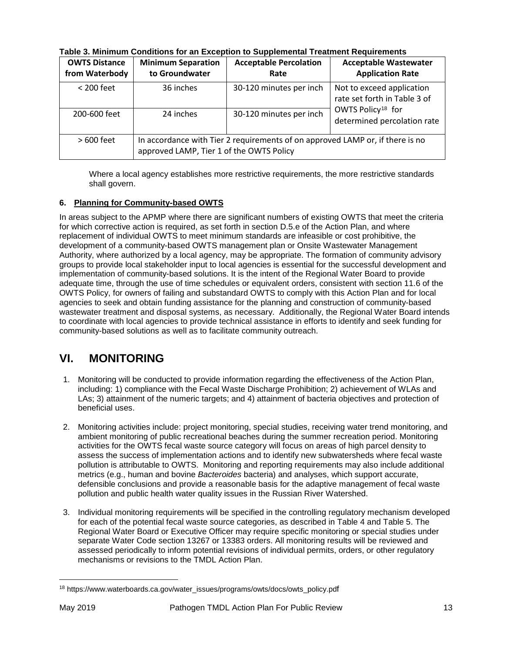| <b>OWTS Distance</b><br>from Waterbody | <b>Minimum Separation</b><br>to Groundwater                                                                               | <b>Acceptable Percolation</b><br>Rate | <b>Acceptable Wastewater</b><br><b>Application Rate</b>      |  |
|----------------------------------------|---------------------------------------------------------------------------------------------------------------------------|---------------------------------------|--------------------------------------------------------------|--|
| $<$ 200 feet                           | 36 inches                                                                                                                 | 30-120 minutes per inch               | Not to exceed application<br>rate set forth in Table 3 of    |  |
| 200-600 feet                           | 24 inches                                                                                                                 | 30-120 minutes per inch               | OWTS Policy <sup>18</sup> for<br>determined percolation rate |  |
| $>600$ feet                            | In accordance with Tier 2 requirements of on approved LAMP or, if there is no<br>approved LAMP, Tier 1 of the OWTS Policy |                                       |                                                              |  |

**Table 3. Minimum Conditions for an Exception to Supplemental Treatment Requirements**

Where a local agency establishes more restrictive requirements, the more restrictive standards shall govern.

#### **6. Planning for Community-based OWTS**

In areas subject to the APMP where there are significant numbers of existing OWTS that meet the criteria for which corrective action is required, as set forth in section D.5.e of the Action Plan, and where replacement of individual OWTS to meet minimum standards are infeasible or cost prohibitive, the development of a community-based OWTS management plan or Onsite Wastewater Management Authority, where authorized by a local agency, may be appropriate. The formation of community advisory groups to provide local stakeholder input to local agencies is essential for the successful development and implementation of community-based solutions. It is the intent of the Regional Water Board to provide adequate time, through the use of time schedules or equivalent orders, consistent with section 11.6 of the OWTS Policy, for owners of failing and substandard OWTS to comply with this Action Plan and for local agencies to seek and obtain funding assistance for the planning and construction of community-based wastewater treatment and disposal systems, as necessary. Additionally, the Regional Water Board intends to coordinate with local agencies to provide technical assistance in efforts to identify and seek funding for community-based solutions as well as to facilitate community outreach.

## **VI. MONITORING**

- 1. Monitoring will be conducted to provide information regarding the effectiveness of the Action Plan, including: 1) compliance with the Fecal Waste Discharge Prohibition; 2) achievement of WLAs and LAs; 3) attainment of the numeric targets; and 4) attainment of bacteria objectives and protection of beneficial uses.
- 2. Monitoring activities include: project monitoring, special studies, receiving water trend monitoring, and ambient monitoring of public recreational beaches during the summer recreation period. Monitoring activities for the OWTS fecal waste source category will focus on areas of high parcel density to assess the success of implementation actions and to identify new subwatersheds where fecal waste pollution is attributable to OWTS. Monitoring and reporting requirements may also include additional metrics (e.g., human and bovine *Bacteroides* bacteria) and analyses, which support accurate, defensible conclusions and provide a reasonable basis for the adaptive management of fecal waste pollution and public health water quality issues in the Russian River Watershed.
- 3. Individual monitoring requirements will be specified in the controlling regulatory mechanism developed for each of the potential fecal waste source categories, as described in Table 4 and Table 5. The Regional Water Board or Executive Officer may require specific monitoring or special studies under separate Water Code section 13267 or 13383 orders. All monitoring results will be reviewed and assessed periodically to inform potential revisions of individual permits, orders, or other regulatory mechanisms or revisions to the TMDL Action Plan.

l

<span id="page-12-0"></span><sup>18</sup> https://www.waterboards.ca.gov/water\_issues/programs/owts/docs/owts\_policy.pdf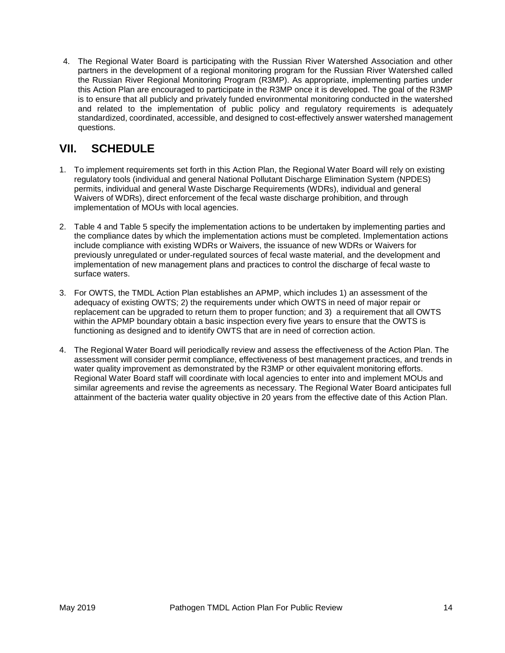4. The Regional Water Board is participating with the Russian River Watershed Association and other partners in the development of a regional monitoring program for the Russian River Watershed called the Russian River Regional Monitoring Program (R3MP). As appropriate, implementing parties under this Action Plan are encouraged to participate in the R3MP once it is developed. The goal of the R3MP is to ensure that all publicly and privately funded environmental monitoring conducted in the watershed and related to the implementation of public policy and regulatory requirements is adequately standardized, coordinated, accessible, and designed to cost-effectively answer watershed management questions.

# **VII. SCHEDULE**

- 1. To implement requirements set forth in this Action Plan, the Regional Water Board will rely on existing regulatory tools (individual and general National Pollutant Discharge Elimination System (NPDES) permits, individual and general Waste Discharge Requirements (WDRs), individual and general Waivers of WDRs), direct enforcement of the fecal waste discharge prohibition, and through implementation of MOUs with local agencies.
- 2. Table 4 and Table 5 specify the implementation actions to be undertaken by implementing parties and the compliance dates by which the implementation actions must be completed. Implementation actions include compliance with existing WDRs or Waivers, the issuance of new WDRs or Waivers for previously unregulated or under-regulated sources of fecal waste material, and the development and implementation of new management plans and practices to control the discharge of fecal waste to surface waters.
- 3. For OWTS, the TMDL Action Plan establishes an APMP, which includes 1) an assessment of the adequacy of existing OWTS; 2) the requirements under which OWTS in need of major repair or replacement can be upgraded to return them to proper function; and 3) a requirement that all OWTS within the APMP boundary obtain a basic inspection every five years to ensure that the OWTS is functioning as designed and to identify OWTS that are in need of correction action.
- 4. The Regional Water Board will periodically review and assess the effectiveness of the Action Plan. The assessment will consider permit compliance, effectiveness of best management practices, and trends in water quality improvement as demonstrated by the R3MP or other equivalent monitoring efforts. Regional Water Board staff will coordinate with local agencies to enter into and implement MOUs and similar agreements and revise the agreements as necessary. The Regional Water Board anticipates full attainment of the bacteria water quality objective in 20 years from the effective date of this Action Plan.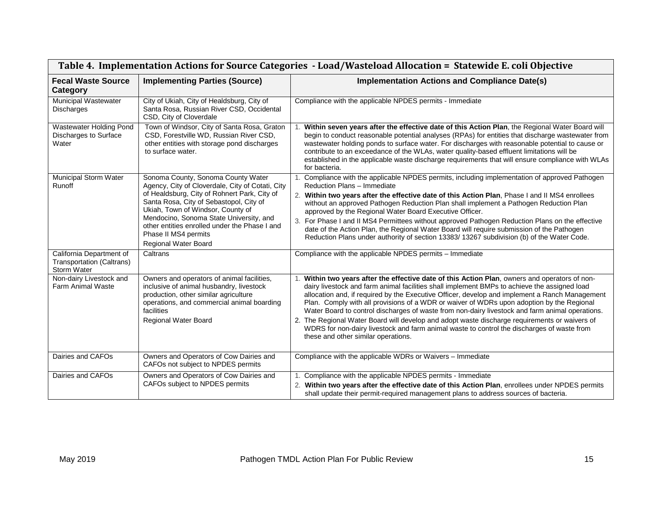| Table 4. Implementation Actions for Source Categories - Load/Wasteload Allocation = Statewide E. coli Objective |                                                                                                                                                                                                                                                                                                                                                                    |                                                                                                                                                                                                                                                                                                                                                                                                                                                                                                                                                                                                                                                                                                                                        |  |
|-----------------------------------------------------------------------------------------------------------------|--------------------------------------------------------------------------------------------------------------------------------------------------------------------------------------------------------------------------------------------------------------------------------------------------------------------------------------------------------------------|----------------------------------------------------------------------------------------------------------------------------------------------------------------------------------------------------------------------------------------------------------------------------------------------------------------------------------------------------------------------------------------------------------------------------------------------------------------------------------------------------------------------------------------------------------------------------------------------------------------------------------------------------------------------------------------------------------------------------------------|--|
| <b>Fecal Waste Source</b><br>Category                                                                           | <b>Implementing Parties (Source)</b>                                                                                                                                                                                                                                                                                                                               | <b>Implementation Actions and Compliance Date(s)</b>                                                                                                                                                                                                                                                                                                                                                                                                                                                                                                                                                                                                                                                                                   |  |
| <b>Municipal Wastewater</b><br>Discharges                                                                       | City of Ukiah, City of Healdsburg, City of<br>Santa Rosa, Russian River CSD, Occidental<br>CSD, City of Cloverdale                                                                                                                                                                                                                                                 | Compliance with the applicable NPDES permits - Immediate                                                                                                                                                                                                                                                                                                                                                                                                                                                                                                                                                                                                                                                                               |  |
| Wastewater Holding Pond<br>Discharges to Surface<br>Water                                                       | Town of Windsor, City of Santa Rosa, Graton<br>CSD, Forestville WD, Russian River CSD,<br>other entities with storage pond discharges<br>to surface water.                                                                                                                                                                                                         | Within seven years after the effective date of this Action Plan, the Regional Water Board will<br>begin to conduct reasonable potential analyses (RPAs) for entities that discharge wastewater from<br>wastewater holding ponds to surface water. For discharges with reasonable potential to cause or<br>contribute to an exceedance of the WLAs, water quality-based effluent limitations will be<br>established in the applicable waste discharge requirements that will ensure compliance with WLAs<br>for bacteria.                                                                                                                                                                                                               |  |
| <b>Municipal Storm Water</b><br>Runoff                                                                          | Sonoma County, Sonoma County Water<br>Agency, City of Cloverdale, City of Cotati, City<br>of Healdsburg, City of Rohnert Park, City of<br>Santa Rosa, City of Sebastopol, City of<br>Ukiah, Town of Windsor, County of<br>Mendocino, Sonoma State University, and<br>other entities enrolled under the Phase I and<br>Phase II MS4 permits<br>Regional Water Board | Compliance with the applicable NPDES permits, including implementation of approved Pathogen<br>Reduction Plans - Immediate<br>2. Within two years after the effective date of this Action Plan, Phase I and II MS4 enrollees<br>without an approved Pathogen Reduction Plan shall implement a Pathogen Reduction Plan<br>approved by the Regional Water Board Executive Officer.<br>3. For Phase I and II MS4 Permittees without approved Pathogen Reduction Plans on the effective<br>date of the Action Plan, the Regional Water Board will require submission of the Pathogen<br>Reduction Plans under authority of section 13383/ 13267 subdivision (b) of the Water Code.                                                         |  |
| California Department of<br>Transportation (Caltrans)<br>Storm Water                                            | Caltrans                                                                                                                                                                                                                                                                                                                                                           | Compliance with the applicable NPDES permits - Immediate                                                                                                                                                                                                                                                                                                                                                                                                                                                                                                                                                                                                                                                                               |  |
| Non-dairy Livestock and<br><b>Farm Animal Waste</b>                                                             | Owners and operators of animal facilities,<br>inclusive of animal husbandry, livestock<br>production, other similar agriculture<br>operations, and commercial animal boarding<br>facilities<br>Regional Water Board                                                                                                                                                | 1. Within two years after the effective date of this Action Plan, owners and operators of non-<br>dairy livestock and farm animal facilities shall implement BMPs to achieve the assigned load<br>allocation and, if required by the Executive Officer, develop and implement a Ranch Management<br>Plan. Comply with all provisions of a WDR or waiver of WDRs upon adoption by the Regional<br>Water Board to control discharges of waste from non-dairy livestock and farm animal operations.<br>2. The Regional Water Board will develop and adopt waste discharge requirements or waivers of<br>WDRS for non-dairy livestock and farm animal waste to control the discharges of waste from<br>these and other similar operations. |  |
| Dairies and CAFOs                                                                                               | Owners and Operators of Cow Dairies and<br>CAFOs not subject to NPDES permits                                                                                                                                                                                                                                                                                      | Compliance with the applicable WDRs or Waivers - Immediate                                                                                                                                                                                                                                                                                                                                                                                                                                                                                                                                                                                                                                                                             |  |
| Dairies and CAFOs                                                                                               | Owners and Operators of Cow Dairies and<br>CAFOs subject to NPDES permits                                                                                                                                                                                                                                                                                          | 1. Compliance with the applicable NPDES permits - Immediate<br>2. Within two years after the effective date of this Action Plan, enrollees under NPDES permits<br>shall update their permit-required management plans to address sources of bacteria.                                                                                                                                                                                                                                                                                                                                                                                                                                                                                  |  |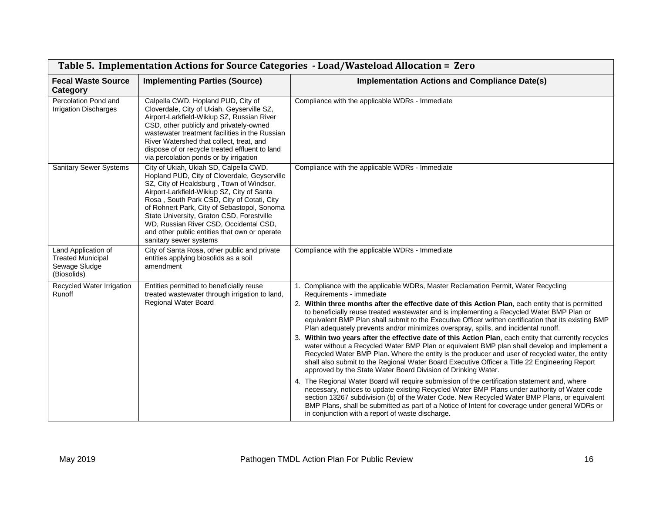| Table 5. Implementation Actions for Source Categories - Load/Wasteload Allocation = Zero |                                                                                                                                                                                                                                                                                                                                                                                                                                                 |                                                                                                                                                                                                                                                                                                                                                                                                                                                                                                                                                                                                                                                                                                                                                                                                                                                                                                                                                                                                                                                                                                                                                                                                                                                                                                                                                                                                                                                         |
|------------------------------------------------------------------------------------------|-------------------------------------------------------------------------------------------------------------------------------------------------------------------------------------------------------------------------------------------------------------------------------------------------------------------------------------------------------------------------------------------------------------------------------------------------|---------------------------------------------------------------------------------------------------------------------------------------------------------------------------------------------------------------------------------------------------------------------------------------------------------------------------------------------------------------------------------------------------------------------------------------------------------------------------------------------------------------------------------------------------------------------------------------------------------------------------------------------------------------------------------------------------------------------------------------------------------------------------------------------------------------------------------------------------------------------------------------------------------------------------------------------------------------------------------------------------------------------------------------------------------------------------------------------------------------------------------------------------------------------------------------------------------------------------------------------------------------------------------------------------------------------------------------------------------------------------------------------------------------------------------------------------------|
| <b>Fecal Waste Source</b><br>Category                                                    | <b>Implementing Parties (Source)</b>                                                                                                                                                                                                                                                                                                                                                                                                            | <b>Implementation Actions and Compliance Date(s)</b>                                                                                                                                                                                                                                                                                                                                                                                                                                                                                                                                                                                                                                                                                                                                                                                                                                                                                                                                                                                                                                                                                                                                                                                                                                                                                                                                                                                                    |
| Percolation Pond and<br><b>Irrigation Discharges</b>                                     | Calpella CWD, Hopland PUD, City of<br>Cloverdale, City of Ukiah, Geyserville SZ,<br>Airport-Larkfield-Wikiup SZ, Russian River<br>CSD, other publicly and privately-owned<br>wastewater treatment facilities in the Russian<br>River Watershed that collect, treat, and<br>dispose of or recycle treated effluent to land<br>via percolation ponds or by irrigation                                                                             | Compliance with the applicable WDRs - Immediate                                                                                                                                                                                                                                                                                                                                                                                                                                                                                                                                                                                                                                                                                                                                                                                                                                                                                                                                                                                                                                                                                                                                                                                                                                                                                                                                                                                                         |
| <b>Sanitary Sewer Systems</b>                                                            | City of Ukiah, Ukiah SD, Calpella CWD,<br>Hopland PUD, City of Cloverdale, Geyserville<br>SZ, City of Healdsburg, Town of Windsor,<br>Airport-Larkfield-Wikiup SZ, City of Santa<br>Rosa, South Park CSD, City of Cotati, City<br>of Rohnert Park, City of Sebastopol, Sonoma<br>State University, Graton CSD, Forestville<br>WD, Russian River CSD, Occidental CSD,<br>and other public entities that own or operate<br>sanitary sewer systems | Compliance with the applicable WDRs - Immediate                                                                                                                                                                                                                                                                                                                                                                                                                                                                                                                                                                                                                                                                                                                                                                                                                                                                                                                                                                                                                                                                                                                                                                                                                                                                                                                                                                                                         |
| Land Application of<br><b>Treated Municipal</b><br>Sewage Sludge<br>(Biosolids)          | City of Santa Rosa, other public and private<br>entities applying biosolids as a soil<br>amendment                                                                                                                                                                                                                                                                                                                                              | Compliance with the applicable WDRs - Immediate                                                                                                                                                                                                                                                                                                                                                                                                                                                                                                                                                                                                                                                                                                                                                                                                                                                                                                                                                                                                                                                                                                                                                                                                                                                                                                                                                                                                         |
| Recycled Water Irrigation<br>Runoff                                                      | Entities permitted to beneficially reuse<br>treated wastewater through irrigation to land,<br>Regional Water Board                                                                                                                                                                                                                                                                                                                              | 1. Compliance with the applicable WDRs, Master Reclamation Permit, Water Recycling<br>Requirements - immediate<br>2. Within three months after the effective date of this Action Plan, each entity that is permitted<br>to beneficially reuse treated wastewater and is implementing a Recycled Water BMP Plan or<br>equivalent BMP Plan shall submit to the Executive Officer written certification that its existing BMP<br>Plan adequately prevents and/or minimizes overspray, spills, and incidental runoff.<br>3. Within two years after the effective date of this Action Plan, each entity that currently recycles<br>water without a Recycled Water BMP Plan or equivalent BMP plan shall develop and implement a<br>Recycled Water BMP Plan. Where the entity is the producer and user of recycled water, the entity<br>shall also submit to the Regional Water Board Executive Officer a Title 22 Engineering Report<br>approved by the State Water Board Division of Drinking Water.<br>4. The Regional Water Board will require submission of the certification statement and, where<br>necessary, notices to update existing Recycled Water BMP Plans under authority of Water code<br>section 13267 subdivision (b) of the Water Code. New Recycled Water BMP Plans, or equivalent<br>BMP Plans, shall be submitted as part of a Notice of Intent for coverage under general WDRs or<br>in conjunction with a report of waste discharge. |